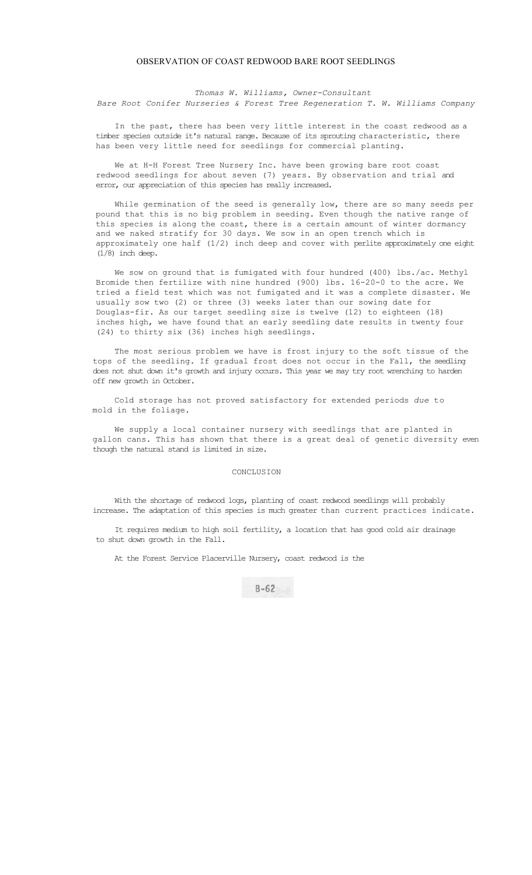## OBSERVATION OF COAST REDWOOD BARE ROOT SEEDLINGS

*Thomas W. Williams, Owner-Consultant* 

*Bare Root Conifer Nurseries & Forest Tree Regeneration T. W. Williams Company* 

In the past, there has been very little interest in the coast redwood as a timber species outside it's natural range. Because of its sprouting characteristic, there has been very little need for seedlings for commercial planting.

We at H-H Forest Tree Nursery Inc. have been growing bare root coast redwood seedlings for about seven (7) years. By observation and trial and error, our appreciation of this species has really increased.

While germination of the seed is generally low, there are so many seeds per pound that this is no big problem in seeding. Even though the native range of this species is along the coast, there is a certain amount of winter dormancy and we naked stratify for 30 days. We sow in an open trench which is approximately one half (1/2) inch deep and cover with perlite approximately one eight (1/8) inch deep.

We sow on ground that is fumigated with four hundred (400) lbs./ac. Methyl Bromide then fertilize with nine hundred (900) lbs. 16-20-0 to the acre. We tried a field test which was not fumigated and it was a complete disaster. We usually sow two (2) or three (3) weeks later than our sowing date for Douglas-fir. As our target seedling size is twelve (12) to eighteen (18) inches high, we have found that an early seedling date results in twenty four (24) to thirty six (36) inches high seedlings.

The most serious problem we have is frost injury to the soft tissue of the tops of the seedling. If gradual frost does not occur in the Fall, the seedling does not shut down it's growth and injury occurs. This year we may try root wrenching to harden off new growth in October.

Cold storage has not proved satisfactory for extended periods *due* to mold in the foliage.

We supply a local container nursery with seedlings that are planted in gallon cans. This has shown that there is a great deal of genetic diversity even though the natural stand is limited in size.

## CONCLUSION

With the shortage of redwood logs, planting of coast redwood seedlings will probably increase. The adaptation of this species is much greater than current practices indicate.

It requires medium to high soil fertility, a location that has good cold air drainage to shut down growth in the Fall.

At the Forest Service Placerville Nursery, coast redwood is the

 $B - 62$